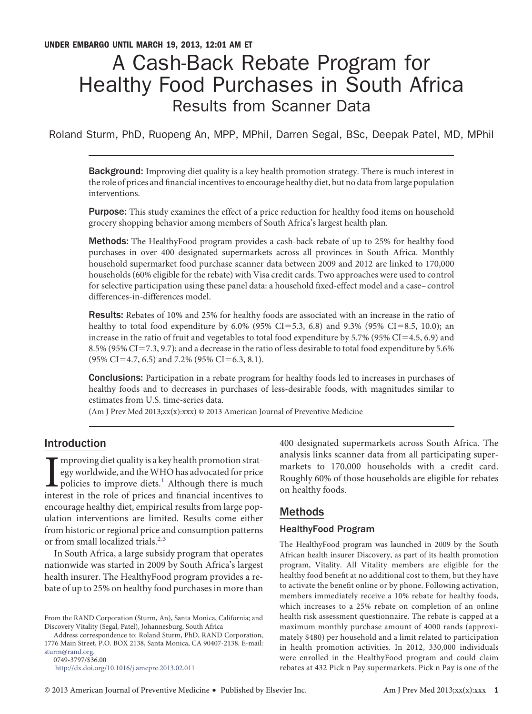# A Cash-Back Rebate Program for Healthy Food Purchases in South Africa Results from Scanner Data

Roland Sturm, PhD, Ruopeng An, MPP, MPhil, Darren Segal, BSc, Deepak Patel, MD, MPhil

Background: Improving diet quality is a key health promotion strategy. There is much interest in the role of prices and fınancial incentives to encourage healthy diet, but no data from large population interventions.

Purpose: This study examines the effect of a price reduction for healthy food items on household grocery shopping behavior among members of South Africa's largest health plan.

Methods: The HealthyFood program provides a cash-back rebate of up to 25% for healthy food purchases in over 400 designated supermarkets across all provinces in South Africa. Monthly household supermarket food purchase scanner data between 2009 and 2012 are linked to 170,000 households (60% eligible for the rebate) with Visa credit cards. Two approaches were used to control for selective participation using these panel data: a household fıxed-effect model and a case– control differences-in-differences model.

Results: Rebates of 10% and 25% for healthy foods are associated with an increase in the ratio of healthy to total food expenditure by  $6.0\%$  (95% CI=5.3, 6.8) and 9.3% (95% CI=8.5, 10.0); an increase in the ratio of fruit and vegetables to total food expenditure by 5.7% (95% CI=4.5, 6.9) and 8.5% (95% CI=7.3, 9.7); and a decrease in the ratio of less desirable to total food expenditure by 5.6%  $(95\% \text{ CI} = 4.7, 6.5)$  and 7.2%  $(95\% \text{ CI} = 6.3, 8.1).$ 

Conclusions: Participation in a rebate program for healthy foods led to increases in purchases of healthy foods and to decreases in purchases of less-desirable foods, with magnitudes similar to estimates from U.S. time-series data.

(Am J Prev Med 2013;xx(x):xxx) © 2013 American Journal of Preventive Medicine

# Introduction

 $\begin{array}{l} \displaystyle \prod_{\text{approx}}$  mproving diet quality is a key health promotion strategy worldwide, and the WHO has advocated for price policies to improve diets.<sup>1</sup> Although there is much interest in the role of prices and financia mproving diet quality is a key health promotion strategy worldwide, and theWHO has advocated for price  $\mathsf{\mathsf{L}}$  policies to improve diets.<sup>[1](#page-5-0)</sup> Although there is much encourage healthy diet, empirical results from large population interventions are limited. Results come either from historic or regional price and consumption patterns or from small localized trials.<sup>[2,3](#page-5-1)</sup>

In South Africa, a large subsidy program that operates nationwide was started in 2009 by South Africa's largest health insurer. The HealthyFood program provides a rebate of up to 25% on healthy food purchases in more than

0749-3797/\$36.00

400 designated supermarkets across South Africa. The analysis links scanner data from all participating supermarkets to 170,000 households with a credit card. Roughly 60% of those households are eligible for rebates on healthy foods.

## Methods

## HealthyFood Program

The HealthyFood program was launched in 2009 by the South African health insurer Discovery, as part of its health promotion program, Vitality. All Vitality members are eligible for the healthy food benefıt at no additional cost to them, but they have to activate the benefıt online or by phone. Following activation, members immediately receive a 10% rebate for healthy foods, which increases to a 25% rebate on completion of an online health risk assessment questionnaire. The rebate is capped at a maximum monthly purchase amount of 4000 rands (approximately \$480) per household and a limit related to participation in health promotion activities. In 2012, 330,000 individuals were enrolled in the HealthyFood program and could claim rebates at 432 Pick n Pay supermarkets. Pick n Pay is one of the

From the RAND Corporation (Sturm, An), Santa Monica, California; and Discovery Vitality (Segal, Patel), Johannesburg, South Africa

Address correspondence to: Roland Sturm, PhD, RAND Corporation, 1776 Main Street, P.O. BOX 2138, Santa Monica, CA 90407-2138. E-mail: [sturm@rand.org.](mailto:sturm@rand.org)

<http://dx.doi.org/10.1016/j.amepre.2013.02.011>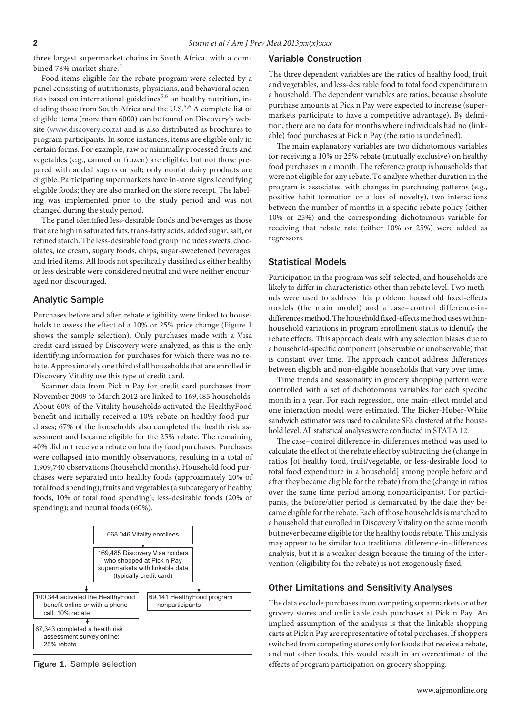three largest supermarket chains in South Africa, with a com-bined 78% market share.<sup>[4](#page-5-2)</sup>

Food items eligible for the rebate program were selected by a panel consisting of nutritionists, physicians, and behavioral scientists based on international guidelines $5,6$  on healthy nutrition, including those from South Africa and the U.S.<sup>5,6</sup> A complete list of eligible items (more than 6000) can be found on Discovery's website [\(www.discovery.co.za\)](http://www.discovery.co.za) and is also distributed as brochures to program participants. In some instances, items are eligible only in certain forms. For example, raw or minimally processed fruits and vegetables (e.g., canned or frozen) are eligible, but not those prepared with added sugars or salt; only nonfat dairy products are eligible. Participating supermarkets have in-store signs identifying eligible foods; they are also marked on the store receipt. The labeling was implemented prior to the study period and was not changed during the study period.

The panel identifıed less-desirable foods and beverages as those that are high in saturated fats, trans-fatty acids, added sugar, salt, or refıned starch. The less-desirable food group includes sweets, chocolates, ice cream, sugary foods, chips, sugar-sweetened beverages, and fried items. All foods not specifıcally classifıed as either healthy or less desirable were considered neutral and were neither encouraged nor discouraged.

#### Analytic Sample

Purchases before and after rebate eligibility were linked to households to assess the effect of a 10% or 25% price change [\(Figure 1](#page-1-0) shows the sample selection). Only purchases made with a Visa credit card issued by Discovery were analyzed, as this is the only identifying information for purchases for which there was no rebate. Approximately one third of all households that are enrolled in Discovery Vitality use this type of credit card.

Scanner data from Pick n Pay for credit card purchases from November 2009 to March 2012 are linked to 169,485 households. About 60% of the Vitality households activated the HealthyFood benefıt and initially received a 10% rebate on healthy food purchases; 67% of the households also completed the health risk assessment and became eligible for the 25% rebate. The remaining 40% did not receive a rebate on healthy food purchases. Purchases were collapsed into monthly observations, resulting in a total of 1,909,740 observations (household months). Household food purchases were separated into healthy foods (approximately 20% of total food spending); fruits and vegetables (a subcategory of healthy foods, 10% of total food spending); less-desirable foods (20% of spending); and neutral foods (60%).



<span id="page-1-0"></span>Figure 1. Sample selection

#### Variable Construction

The three dependent variables are the ratios of healthy food, fruit and vegetables, and less-desirable food to total food expenditure in a household. The dependent variables are ratios, because absolute purchase amounts at Pick n Pay were expected to increase (supermarkets participate to have a competitive advantage). By defınition, there are no data for months where individuals had no (linkable) food purchases at Pick n Pay (the ratio is undefıned).

The main explanatory variables are two dichotomous variables for receiving a 10% or 25% rebate (mutually exclusive) on healthy food purchases in a month. The reference group is households that were not eligible for any rebate. To analyze whether duration in the program is associated with changes in purchasing patterns (e.g., positive habit formation or a loss of novelty), two interactions between the number of months in a specifıc rebate policy (either 10% or 25%) and the corresponding dichotomous variable for receiving that rebate rate (either 10% or 25%) were added as regressors.

#### Statistical Models

Participation in the program was self-selected, and households are likely to differ in characteristics other than rebate level. Two methods were used to address this problem: household fıxed-effects models (the main model) and a case– control difference-indifferences method. The household fixed-effects method uses withinhousehold variations in program enrollment status to identify the rebate effects. This approach deals with any selection biases due to a household-specifıc component (observable or unobservable) that is constant over time. The approach cannot address differences between eligible and non-eligible households that vary over time.

Time trends and seasonality in grocery shopping pattern were controlled with a set of dichotomous variables for each specifıc month in a year. For each regression, one main-effect model and one interaction model were estimated. The Eicker-Huber-White sandwich estimator was used to calculate SEs clustered at the household level. All statistical analyses were conducted in STATA 12.

The case– control difference-in-differences method was used to calculate the effect of the rebate effect by subtracting the (change in ratios [of healthy food, fruit/vegetable, or less-desirable food to total food expenditure in a household] among people before and after they became eligible for the rebate) from the (change in ratios over the same time period among nonparticipants). For participants, the before/after period is demarcated by the date they became eligible for the rebate. Each of those households is matched to a household that enrolled in Discovery Vitality on the same month but never became eligible for the healthy foods rebate. This analysis may appear to be similar to a traditional difference-in-differences analysis, but it is a weaker design because the timing of the intervention (eligibility for the rebate) is not exogenously fıxed.

#### Other Limitations and Sensitivity Analyses

The data exclude purchases from competing supermarkets or other grocery stores and unlinkable cash purchases at Pick n Pay. An implied assumption of the analysis is that the linkable shopping carts at Pick n Pay are representative of total purchases. If shoppers switched from competing stores only for foods that receive a rebate, and not other foods, this would result in an overestimate of the effects of program participation on grocery shopping.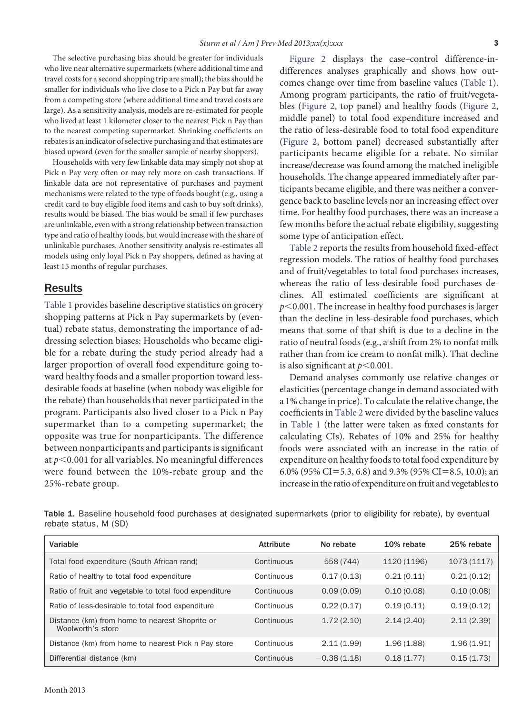The selective purchasing bias should be greater for individuals who live near alternative supermarkets (where additional time and travel costs for a second shopping trip are small); the bias should be smaller for individuals who live close to a Pick n Pay but far away from a competing store (where additional time and travel costs are large). As a sensitivity analysis, models are re-estimated for people who lived at least 1 kilometer closer to the nearest Pick n Pay than to the nearest competing supermarket. Shrinking coeffıcients on rebates is an indicator of selective purchasing and that estimates are biased upward (even for the smaller sample of nearby shoppers).

Households with very few linkable data may simply not shop at Pick n Pay very often or may rely more on cash transactions. If linkable data are not representative of purchases and payment mechanisms were related to the type of foods bought (e.g., using a credit card to buy eligible food items and cash to buy soft drinks), results would be biased. The bias would be small if few purchases are unlinkable, even with a strong relationship between transaction type and ratio of healthy foods, but would increase with the share of unlinkable purchases. Another sensitivity analysis re-estimates all models using only loyal Pick n Pay shoppers, defıned as having at least 15 months of regular purchases.

### Results

[Table 1](#page-2-0) provides baseline descriptive statistics on grocery shopping patterns at Pick n Pay supermarkets by (eventual) rebate status, demonstrating the importance of addressing selection biases: Households who became eligible for a rebate during the study period already had a larger proportion of overall food expenditure going toward healthy foods and a smaller proportion toward lessdesirable foods at baseline (when nobody was eligible for the rebate) than households that never participated in the program. Participants also lived closer to a Pick n Pay supermarket than to a competing supermarket; the opposite was true for nonparticipants. The difference between nonparticipants and participants is signifıcant at  $p<$  0.001 for all variables. No meaningful differences were found between the 10%-rebate group and the 25%-rebate group.

[Figure 2](#page-3-0) displays the case–control difference-indifferences analyses graphically and shows how outcomes change over time from baseline values [\(Table 1\)](#page-2-0). Among program participants, the ratio of fruit/vegetables [\(Figure 2,](#page-3-0) top panel) and healthy foods [\(Figure 2,](#page-3-0) middle panel) to total food expenditure increased and the ratio of less-desirable food to total food expenditure [\(Figure 2,](#page-3-0) bottom panel) decreased substantially after participants became eligible for a rebate. No similar increase/decrease was found among the matched ineligible households. The change appeared immediately after participants became eligible, and there was neither a convergence back to baseline levels nor an increasing effect over time. For healthy food purchases, there was an increase a few months before the actual rebate eligibility, suggesting some type of anticipation effect.

[Table 2](#page-4-0) reports the results from household fıxed-effect regression models. The ratios of healthy food purchases and of fruit/vegetables to total food purchases increases, whereas the ratio of less-desirable food purchases declines. All estimated coeffıcients are signifıcant at  $p<$  0.001. The increase in healthy food purchases is larger than the decline in less-desirable food purchases, which means that some of that shift is due to a decline in the ratio of neutral foods (e.g., a shift from 2% to nonfat milk rather than from ice cream to nonfat milk). That decline is also significant at  $p$  < 0.001.

Demand analyses commonly use relative changes or elasticities (percentage change in demand associated with a 1% change in price). To calculate the relative change, the coeffıcients in [Table 2](#page-4-0) were divided by the baseline values in [Table 1](#page-2-0) (the latter were taken as fıxed constants for calculating CIs). Rebates of 10% and 25% for healthy foods were associated with an increase in the ratio of expenditure on healthy foods to total food expenditure by 6.0% (95% CI=5.3, 6.8) and 9.3% (95% CI=8.5, 10.0); an increase in the ratio of expenditure on fruit and vegetables to

<span id="page-2-0"></span>Table 1. Baseline household food purchases at designated supermarkets (prior to eligibility for rebate), by eventual rebate status, M (SD)

| Variable                                                            | <b>Attribute</b> | No rebate     | 10% rebate  | 25% rebate  |
|---------------------------------------------------------------------|------------------|---------------|-------------|-------------|
| Total food expenditure (South African rand)                         | Continuous       | 558 (744)     | 1120 (1196) | 1073 (1117) |
| Ratio of healthy to total food expenditure                          | Continuous       | 0.17(0.13)    | 0.21(0.11)  | 0.21(0.12)  |
| Ratio of fruit and vegetable to total food expenditure              | Continuous       | 0.09(0.09)    | 0.10(0.08)  | 0.10(0.08)  |
| Ratio of less-desirable to total food expenditure                   | Continuous       | 0.22(0.17)    | 0.19(0.11)  | 0.19(0.12)  |
| Distance (km) from home to nearest Shoprite or<br>Woolworth's store | Continuous       | 1.72(2.10)    | 2.14(2.40)  | 2.11(2.39)  |
| Distance (km) from home to nearest Pick n Pay store                 | Continuous       | 2.11(1.99)    | 1.96(1.88)  | 1.96(1.91)  |
| Differential distance (km)                                          | Continuous       | $-0.38(1.18)$ | 0.18(1.77)  | 0.15(1.73)  |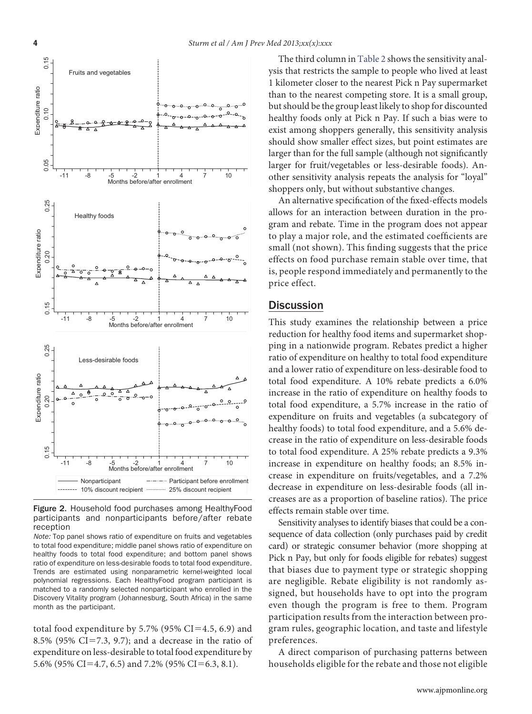

<span id="page-3-0"></span>Figure 2. Household food purchases among HealthyFood participants and nonparticipants before/after rebate reception

*Note:* Top panel shows ratio of expenditure on fruits and vegetables to total food expenditure; middle panel shows ratio of expenditure on healthy foods to total food expenditure; and bottom panel shows ratio of expenditure on less-desirable foods to total food expenditure. Trends are estimated using nonparametric kernel-weighted local polynomial regressions. Each HealthyFood program participant is matched to a randomly selected nonparticipant who enrolled in the Discovery Vitality program (Johannesburg, South Africa) in the same month as the participant.

total food expenditure by 5.7% (95% CI=4.5, 6.9) and 8.5% (95% CI=7.3, 9.7); and a decrease in the ratio of expenditure on less-desirable to total food expenditure by 5.6% (95% CI=4.7, 6.5) and 7.2% (95% CI=6.3, 8.1).

The third column in [Table 2](#page-4-0) shows the sensitivity analysis that restricts the sample to people who lived at least 1 kilometer closer to the nearest Pick n Pay supermarket than to the nearest competing store. It is a small group, but should be the group least likely to shop for discounted healthy foods only at Pick n Pay. If such a bias were to exist among shoppers generally, this sensitivity analysis should show smaller effect sizes, but point estimates are larger than for the full sample (although not signifıcantly larger for fruit/vegetables or less-desirable foods). Another sensitivity analysis repeats the analysis for "loyal" shoppers only, but without substantive changes.

An alternative specifıcation of the fıxed-effects models allows for an interaction between duration in the program and rebate. Time in the program does not appear to play a major role, and the estimated coeffıcients are small (not shown). This fınding suggests that the price effects on food purchase remain stable over time, that is, people respond immediately and permanently to the price effect.

## **Discussion**

This study examines the relationship between a price reduction for healthy food items and supermarket shopping in a nationwide program. Rebates predict a higher ratio of expenditure on healthy to total food expenditure and a lower ratio of expenditure on less-desirable food to total food expenditure. A 10% rebate predicts a 6.0% increase in the ratio of expenditure on healthy foods to total food expenditure, a 5.7% increase in the ratio of expenditure on fruits and vegetables (a subcategory of healthy foods) to total food expenditure, and a 5.6% decrease in the ratio of expenditure on less-desirable foods to total food expenditure. A 25% rebate predicts a 9.3% increase in expenditure on healthy foods; an 8.5% increase in expenditure on fruits/vegetables, and a 7.2% decrease in expenditure on less-desirable foods (all increases are as a proportion of baseline ratios). The price effects remain stable over time.

Sensitivity analyses to identify biases that could be a consequence of data collection (only purchases paid by credit card) or strategic consumer behavior (more shopping at Pick n Pay, but only for foods eligible for rebates) suggest that biases due to payment type or strategic shopping are negligible. Rebate eligibility is not randomly assigned, but households have to opt into the program even though the program is free to them. Program participation results from the interaction between program rules, geographic location, and taste and lifestyle preferences.

A direct comparison of purchasing patterns between households eligible for the rebate and those not eligible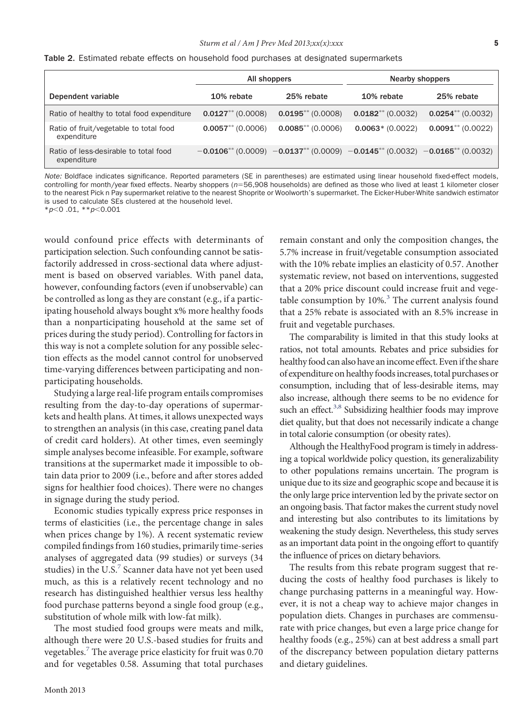<span id="page-4-0"></span>

|  |  |  |  |  |  |  |  |  | Table 2. Estimated rebate effects on household food purchases at designated supermarkets |  |  |
|--|--|--|--|--|--|--|--|--|------------------------------------------------------------------------------------------|--|--|
|--|--|--|--|--|--|--|--|--|------------------------------------------------------------------------------------------|--|--|

|                                                       | All shoppers        |                                                                                     | <b>Nearby shoppers</b> |                        |  |  |  |
|-------------------------------------------------------|---------------------|-------------------------------------------------------------------------------------|------------------------|------------------------|--|--|--|
| Dependent variable                                    | 10% rebate          | 25% rebate                                                                          | 10% rebate             | 25% rebate             |  |  |  |
| Ratio of healthy to total food expenditure            | $0.0127**$ (0.0008) | $0.0195**$ (0.0008)                                                                 | $0.0182**$ (0.0032)    | $0.0254**$ (0.0032)    |  |  |  |
| Ratio of fruit/vegetable to total food<br>expenditure | $0.0057$ (0.0006)   | $0.0085$ ** (0.0006)                                                                | $0.0063*(0.0022)$      | $0.0091^{**}$ (0.0022) |  |  |  |
| Ratio of less-desirable to total food<br>expenditure  |                     | $-0.0106**$ (0.0009) $-0.0137**$ (0.0009) $-0.0145**$ (0.0032) $-0.0165**$ (0.0032) |                        |                        |  |  |  |

*Note:* Boldface indicates significance. Reported parameters (SE in parentheses) are estimated using linear household fixed-effect models, controlling for month/year fixed effects. Nearby shoppers (*n*56,908 households) are defined as those who lived at least 1 kilometer closer to the nearest Pick n Pay supermarket relative to the nearest Shoprite or Woolworth's supermarket. The Eicker-Huber-White sandwich estimator is used to calculate SEs clustered at the household level.

\**p*-0 .01, \*\**p*-0.001

would confound price effects with determinants of participation selection. Such confounding cannot be satisfactorily addressed in cross-sectional data where adjustment is based on observed variables. With panel data, however, confounding factors (even if unobservable) can be controlled as long as they are constant (e.g., if a participating household always bought x% more healthy foods than a nonparticipating household at the same set of prices during the study period). Controlling for factors in this way is not a complete solution for any possible selection effects as the model cannot control for unobserved time-varying differences between participating and nonparticipating households.

Studying a large real-life program entails compromises resulting from the day-to-day operations of supermarkets and health plans. At times, it allows unexpected ways to strengthen an analysis (in this case, creating panel data of credit card holders). At other times, even seemingly simple analyses become infeasible. For example, software transitions at the supermarket made it impossible to obtain data prior to 2009 (i.e., before and after stores added signs for healthier food choices). There were no changes in signage during the study period.

Economic studies typically express price responses in terms of elasticities (i.e., the percentage change in sales when prices change by 1%). A recent systematic review compiled fındings from 160 studies, primarily time-series analyses of aggregated data (99 studies) or surveys (34 studies) in the U.S. $7$  Scanner data have not yet been used much, as this is a relatively recent technology and no research has distinguished healthier versus less healthy food purchase patterns beyond a single food group (e.g., substitution of whole milk with low-fat milk).

The most studied food groups were meats and milk, although there were 20 U.S.-based studies for fruits and vegetables.<sup>[7](#page-5-4)</sup> The average price elasticity for fruit was 0.70 and for vegetables 0.58. Assuming that total purchases

remain constant and only the composition changes, the 5.7% increase in fruit/vegetable consumption associated with the 10% rebate implies an elasticity of 0.57. Another systematic review, not based on interventions, suggested that a 20% price discount could increase fruit and vegetable consumption by  $10\%$ <sup>[3](#page-5-5)</sup>. The current analysis found that a 25% rebate is associated with an 8.5% increase in fruit and vegetable purchases.

The comparability is limited in that this study looks at ratios, not total amounts. Rebates and price subsidies for healthy food can also have an income effect. Even if the share of expenditure on healthy foods increases, total purchases or consumption, including that of less-desirable items, may also increase, although there seems to be no evidence for such an effect.<sup>3,8</sup> Subsidizing healthier foods may improve diet quality, but that does not necessarily indicate a change in total calorie consumption (or obesity rates).

Although the HealthyFood program is timely in addressing a topical worldwide policy question, its generalizability to other populations remains uncertain. The program is unique due to its size and geographic scope and because it is the only large price intervention led by the private sector on an ongoing basis. That factor makes the current study novel and interesting but also contributes to its limitations by weakening the study design. Nevertheless, this study serves as an important data point in the ongoing effort to quantify the influence of prices on dietary behaviors.

The results from this rebate program suggest that reducing the costs of healthy food purchases is likely to change purchasing patterns in a meaningful way. However, it is not a cheap way to achieve major changes in population diets. Changes in purchases are commensurate with price changes, but even a large price change for healthy foods (e.g., 25%) can at best address a small part of the discrepancy between population dietary patterns and dietary guidelines.